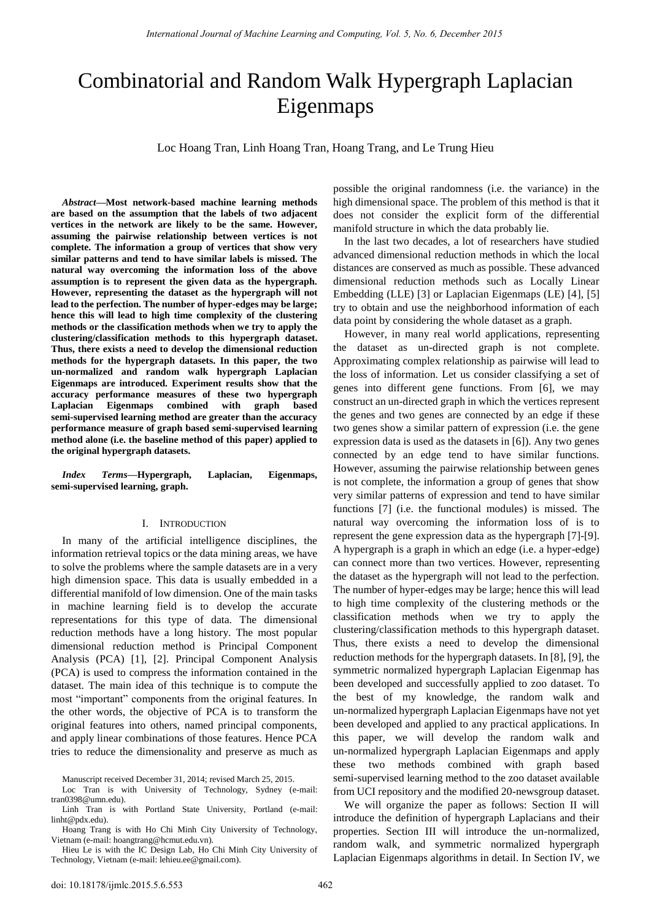# Combinatorial and Random Walk Hypergraph Laplacian Eigenmaps

Loc Hoang Tran, Linh Hoang Tran, Hoang Trang, and Le Trung Hieu

*Abstract***—Most network-based machine learning methods are based on the assumption that the labels of two adjacent vertices in the network are likely to be the same. However, assuming the pairwise relationship between vertices is not complete. The information a group of vertices that show very similar patterns and tend to have similar labels is missed. The natural way overcoming the information loss of the above assumption is to represent the given data as the hypergraph. However, representing the dataset as the hypergraph will not lead to the perfection. The number of hyper-edges may be large; hence this will lead to high time complexity of the clustering methods or the classification methods when we try to apply the clustering/classification methods to this hypergraph dataset. Thus, there exists a need to develop the dimensional reduction methods for the hypergraph datasets. In this paper, the two un-normalized and random walk hypergraph Laplacian Eigenmaps are introduced. Experiment results show that the accuracy performance measures of these two hypergraph Laplacian Eigenmaps combined with graph based semi-supervised learning method are greater than the accuracy performance measure of graph based semi-supervised learning method alone (i.e. the baseline method of this paper) applied to the original hypergraph datasets.** 

*Index Terms***—Hypergraph, Laplacian, Eigenmaps, semi-supervised learning, graph.** 

#### I. INTRODUCTION

In many of the artificial intelligence disciplines, the information retrieval topics or the data mining areas, we have to solve the problems where the sample datasets are in a very high dimension space. This data is usually embedded in a differential manifold of low dimension. One of the main tasks in machine learning field is to develop the accurate representations for this type of data. The dimensional reduction methods have a long history. The most popular dimensional reduction method is Principal Component Analysis (PCA) [1], [2]. Principal Component Analysis (PCA) is used to compress the information contained in the dataset. The main idea of this technique is to compute the most "important" components from the original features. In the other words, the objective of PCA is to transform the original features into others, named principal components, and apply linear combinations of those features. Hence PCA tries to reduce the dimensionality and preserve as much as

Loc Tran is with University of Technology, Sydney (e-mail: [tran0398@umn.edu\)](mailto:tran0398@umn.edu).

Hieu Le is with the IC Design Lab, Ho Chi Minh City University of Technology, Vietnam (e-mail: [lehieu.ee@gmail.com\)](mailto:lehieu.ee@gmail.com).

possible the original randomness (i.e. the variance) in the high dimensional space. The problem of this method is that it does not consider the explicit form of the differential manifold structure in which the data probably lie.

In the last two decades, a lot of researchers have studied advanced dimensional reduction methods in which the local distances are conserved as much as possible. These advanced dimensional reduction methods such as Locally Linear Embedding (LLE) [3] or Laplacian Eigenmaps (LE) [4], [5] try to obtain and use the neighborhood information of each data point by considering the whole dataset as a graph.

However, in many real world applications, representing the dataset as un-directed graph is not complete. Approximating complex relationship as pairwise will lead to the loss of information. Let us consider classifying a set of genes into different gene functions. From [6], we may construct an un-directed graph in which the vertices represent the genes and two genes are connected by an edge if these two genes show a similar pattern of expression (i.e. the gene expression data is used as the datasets in [6]). Any two genes connected by an edge tend to have similar functions. However, assuming the pairwise relationship between genes is not complete, the information a group of genes that show very similar patterns of expression and tend to have similar functions [7] (i.e. the functional modules) is missed. The natural way overcoming the information loss of is to represent the gene expression data as the hypergraph [7]-[9]. A hypergraph is a graph in which an edge (i.e. a hyper-edge) can connect more than two vertices. However, representing the dataset as the hypergraph will not lead to the perfection. The number of hyper-edges may be large; hence this will lead to high time complexity of the clustering methods or the classification methods when we try to apply the clustering/classification methods to this hypergraph dataset. Thus, there exists a need to develop the dimensional reduction methods for the hypergraph datasets. In [8], [9], the symmetric normalized hypergraph Laplacian Eigenmap has been developed and successfully applied to zoo dataset. To the best of my knowledge, the random walk and un-normalized hypergraph Laplacian Eigenmaps have not yet been developed and applied to any practical applications. In this paper, we will develop the random walk and un-normalized hypergraph Laplacian Eigenmaps and apply these two methods combined with graph based semi-supervised learning method to the zoo dataset available from UCI repository and the modified 20-newsgroup dataset.

We will organize the paper as follows: Section II will introduce the definition of hypergraph Laplacians and their properties. Section III will introduce the un-normalized, random walk, and symmetric normalized hypergraph Laplacian Eigenmaps algorithms in detail. In Section IV, we

Manuscript received December 31, 2014; revised March 25, 2015.

Linh Tran is with Portland State University, Portland (e-mail: linht@pdx.edu).

Hoang Trang is with Ho Chi Minh City University of Technology, Vietnam (e-mail[: hoangtrang@hcmut.edu.vn\)](mailto:hoangtrang@hcmut.edu.vn).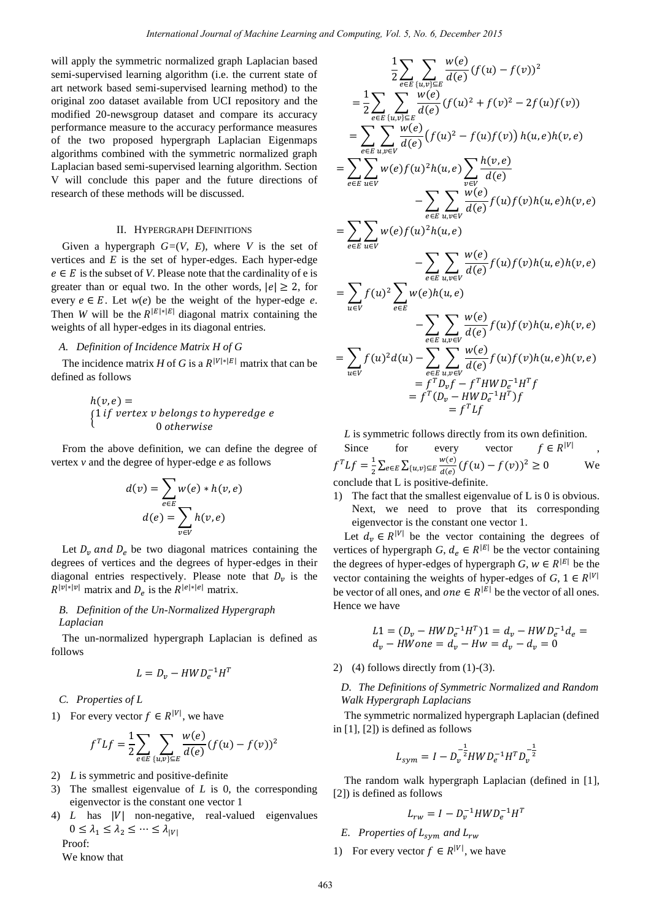will apply the symmetric normalized graph Laplacian based semi-supervised learning algorithm (i.e. the current state of art network based semi-supervised learning method) to the original zoo dataset available from UCI repository and the modified 20-newsgroup dataset and compare its accuracy performance measure to the accuracy performance measures of the two proposed hypergraph Laplacian Eigenmaps algorithms combined with the symmetric normalized graph Laplacian based semi-supervised learning algorithm. Section V will conclude this paper and the future directions of research of these methods will be discussed.

#### II. HYPERGRAPH DEFINITIONS

Given a hypergraph  $G=(V, E)$ , where V is the set of vertices and *E* is the set of hyper-edges. Each hyper-edge  $e \in E$  is the subset of *V*. Please note that the cardinality of e is greater than or equal two. In the other words,  $|e| \ge 2$ , for every  $e \in E$ . Let  $w(e)$  be the weight of the hyper-edge *e*. Then *W* will be the  $R^{|E|*|E|}$  diagonal matrix containing the weights of all hyper-edges in its diagonal entries.

## *A. Definition of Incidence Matrix H of G*

The incidence matrix *H* of *G* is a  $R^{|V|*|E|}$  matrix that can be defined as follows

$$
h(v, e) =
$$
\n
$$
\begin{cases}\n1 \text{ if vertex } v \text{ belongs to hyperedge } e \\
0 \text{ otherwise}\n\end{cases}
$$

From the above definition, we can define the degree of vertex *v* and the degree of hyper-edge *e* as follows

$$
d(v) = \sum_{e \in E} w(e) * h(v, e)
$$

$$
d(e) = \sum_{v \in V} h(v, e)
$$

Let  $D_v$  and  $D_e$  be two diagonal matrices containing the degrees of vertices and the degrees of hyper-edges in their diagonal entries respectively. Please note that  $D_{\nu}$  is the  $R^{|v|*|v|}$  matrix and  $D_e$  is the  $R^{|e|*|e|}$  matrix.

### *B. Definition of the Un-Normalized Hypergraph Laplacian*

The un-normalized hypergraph Laplacian is defined as follows

$$
L = D_v - HWD_e^{-1}H^T
$$

*C. Properties of L* 

1) For every vector  $f \in R^{|V|}$ , we have

$$
f^{T}Lf = \frac{1}{2} \sum_{e \in E} \sum_{\{u,v\} \subseteq E} \frac{w(e)}{d(e)} (f(u) - f(v))^{2}
$$

- 2) *L* is symmetric and positive-definite
- 3) The smallest eigenvalue of *L* is 0, the corresponding eigenvector is the constant one vector 1
- 4)  $L$  has  $|V|$  non-negative, real-valued eigenvalues  $0 \leq \lambda_1 \leq \lambda_2 \leq \cdots \leq \lambda_{|V|}$ Proof:

We know that

$$
\frac{1}{2} \sum_{e \in E} \sum_{\{u,v\} \subseteq E} \frac{w(e)}{d(e)} (f(u) - f(v))^2
$$
\n
$$
= \frac{1}{2} \sum_{e \in E} \sum_{\{u,v\} \subseteq E} \frac{w(e)}{d(e)} (f(u)^2 + f(v)^2 - 2f(u)f(v))
$$
\n
$$
= \sum_{e \in E} \sum_{u,v \in V} \frac{w(e)}{d(e)} (f(u)^2 - f(u)f(v)) h(u,e)h(v,e)
$$
\n
$$
= \sum_{e \in E} \sum_{u \in V} w(e) f(u)^2 h(u,e) \sum_{v \in V} \frac{h(v,e)}{d(e)} \sum_{u \in V} \frac{w(e)}{d(e)} f(u)f(v)h(u,e)h(v,e)
$$
\n
$$
= \sum_{e \in E} \sum_{u \in V} w(e) f(u)^2 h(u,e)
$$
\n
$$
- \sum_{e \in E} \sum_{u,v \in V} \frac{w(e)}{d(e)} f(u)f(v)h(u,e)h(v,e)
$$
\n
$$
= \sum_{u \in V} f(u)^2 \sum_{e \in E} w(e)h(u,e)
$$
\n
$$
- \sum_{e \in E} \sum_{u,v \in V} \frac{w(e)}{d(e)} f(u)f(v)h(u,e)h(v,e)
$$
\n
$$
= \sum_{u \in V} f(u)^2 d(u) - \sum_{e \in E} \sum_{u,v \in V} \frac{w(e)}{d(e)} f(u)f(v)h(u,e)h(v,e)
$$
\n
$$
= f^T b_v f - f^T H W D_e^{-1} H^T f
$$
\n
$$
= f^T L f
$$

*L* is symmetric follows directly from its own definition.

Since for every vector  $f \in R^{|V|}$ ,  $f^T L f = \frac{1}{2}$  $\frac{1}{2}\sum_{e\in E}\sum_{\{u,v\}\subseteq E}\frac{w(e)}{d(e)}(f(u)-f(v))^2\geq 0$  We conclude that L is positive-definite.

1) The fact that the smallest eigenvalue of L is 0 is obvious. Next, we need to prove that its corresponding eigenvector is the constant one vector 1.

Let  $d_v \in R^{|V|}$  be the vector containing the degrees of vertices of hypergraph *G*,  $d_e \in R^{|E|}$  be the vector containing the degrees of hyper-edges of hypergraph *G*,  $w \in R^{|E|}$  be the vector containing the weights of hyper-edges of  $G, 1 \in R^{|V|}$ be vector of all ones, and one  $\in R^{|E|}$  be the vector of all ones. Hence we have

$$
L1 = (D_v - HWD_e^{-1}H^T)1 = d_v - HWD_e^{-1}d_e =
$$
  

$$
d_v - HWone = d_v - Hw = d_v - d_v = 0
$$

2) (4) follows directly from  $(1)-(3)$ .

*D. The Definitions of Symmetric Normalized and Random Walk Hypergraph Laplacians* 

The symmetric normalized hypergraph Laplacian (defined in [1], [2]) is defined as follows

$$
L_{sym} = I - D_v^{-\frac{1}{2}} H W D_e^{-1} H^T D_v^{-\frac{1}{2}}
$$

The random walk hypergraph Laplacian (defined in [1], [2]) is defined as follows

- $L_{rw} = I D_v^{-1} H W D_e^{-1} H^T$
- *E. Properties of*  $L_{sym}$  *and*  $L_{rw}$
- 1) For every vector  $f \in R^{|V|}$ , we have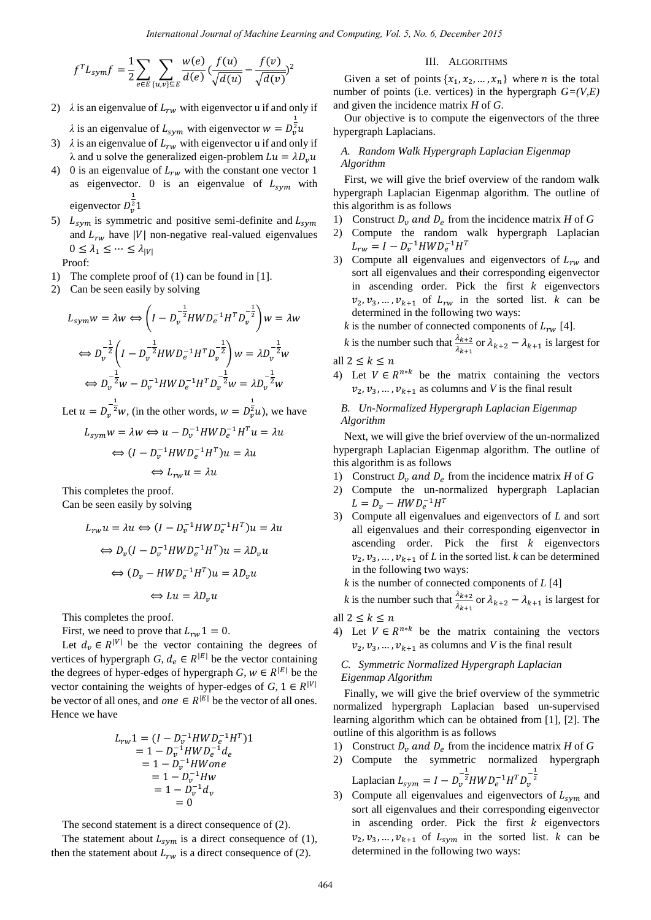$$
f^{T}L_{sym}f = \frac{1}{2} \sum_{e \in E} \sum_{\{u,v\} \subseteq E} \frac{w(e)}{d(e)} \left( \frac{f(u)}{\sqrt{d(u)}} - \frac{f(v)}{\sqrt{d(v)}} \right)^{2}
$$

- 2)  $\lambda$  is an eigenvalue of  $L_{rw}$  with eigenvector u if and only if  $\lambda$  is an eigenvalue of  $L_{sym}$  with eigenvector  $\frac{1}{2}$
- 3)  $\lambda$  is an eigenvalue of  $L_{rw}$  with eigenvector u if and only if  $\lambda$  and u solve the generalized eigen-problem  $Lu = \lambda D_v u$
- 4) 0 is an eigenvalue of  $L_{rw}$  with the constant one vector 1 as eigenvector. 0 is an eigenvalue of  $L_{sym}$  with eigenvector  $D_v^2$  $\mathbf{1}$
- 5)  $L_{sym}$  is symmetric and positive semi-definite and  $L_{sym}$ and  $L_{rw}$  have |V| non-negative real-valued eigenvalues  $0 \leq \lambda_1 \leq \cdots \leq \lambda_{|V|}$

Proof:

- 1) The complete proof of (1) can be found in [1].
- 2) Can be seen easily by solving

$$
L_{sym}w = \lambda w \Leftrightarrow \left(I - D_v^{-\frac{1}{2}}HWD_e^{-1}H^TD_v^{-\frac{1}{2}}\right)w = \lambda w
$$
  

$$
\Leftrightarrow D_v^{-\frac{1}{2}}\left(I - D_v^{-\frac{1}{2}}HWD_e^{-1}H^TD_v^{-\frac{1}{2}}\right)w = \lambda D_v^{-\frac{1}{2}}w
$$
  

$$
\Leftrightarrow D_v^{-\frac{1}{2}}w - D_v^{-1}HWD_e^{-1}H^TD_v^{-\frac{1}{2}}w = \lambda D_v^{-\frac{1}{2}}w
$$

Let  $u = D_n^{\frac{1}{2}} w$ , (in the other words,  $w = D_n^{\frac{1}{2}} u$ ), we have

$$
L_{sym}w = \lambda w \Leftrightarrow u - D_v^{-1}HWD_e^{-1}H^T u = \lambda u
$$

$$
\Leftrightarrow (I - D_v^{-1}HWD_e^{-1}H^T)u = \lambda u
$$

$$
\Leftrightarrow L_{rw}u = \lambda u
$$

This completes the proof.

Can be seen easily by solving

$$
L_{rw}u = \lambda u \Leftrightarrow (I - D_v^{-1}HWD_e^{-1}H^T)u = \lambda u
$$
  

$$
\Leftrightarrow D_v(I - D_v^{-1}HWD_e^{-1}H^T)u = \lambda D_v u
$$
  

$$
\Leftrightarrow (D_v - HWD_e^{-1}H^T)u = \lambda D_v u
$$
  

$$
\Leftrightarrow Lu = \lambda D_v u
$$

This completes the proof.

First, we need to prove that  $L_{rw}1 = 0$ .

Let  $d_n \in R^{|V|}$  be the vector containing the degrees of vertices of hypergraph *G*,  $d_e \in R^{|E|}$  be the vector containing the degrees of hyper-edges of hypergraph *G*,  $w \in R^{|E|}$  be the vector containing the weights of hyper-edges of  $G, 1 \in R^{|V|}$ be vector of all ones, and one  $\in R^{|E|}$  be the vector of all ones. Hence we have

$$
L_{rw}1 = (I - D_v^{-1}HWD_e^{-1}H^T)1
$$
  
= 1 - D\_v^{-1}HWD\_e^{-1}d\_e  
= 1 - D\_v^{-1}HWone  
= 1 - D\_v^{-1}Hw  
= 1 - D\_v^{-1}d\_v  
= 0

The second statement is a direct consequence of (2).

The statement about  $L_{sym}$  is a direct consequence of (1), then the statement about  $L_{rw}$  is a direct consequence of (2).

#### III. ALGORITHMS

Given a set of points  $\{x_1, x_2, ..., x_n\}$  where *n* is the total number of points (i.e. vertices) in the hypergraph  $G=(V,E)$ and given the incidence matrix *H* of *G*.

Our objective is to compute the eigenvectors of the three hypergraph Laplacians.

## *A. Random Walk Hypergraph Laplacian Eigenmap Algorithm*

First, we will give the brief overview of the random walk hypergraph Laplacian Eigenmap algorithm. The outline of this algorithm is as follows

- 1) Construct  $D_v$  and  $D_e$  from the incidence matrix *H* of *G*
- 2) Compute the random walk hypergraph Laplacian  $L_{rw} = I - D_v^{-1} H W D_e^{-1} H^T$
- 3) Compute all eigenvalues and eigenvectors of  $L_{rw}$  and sort all eigenvalues and their corresponding eigenvector in ascending order. Pick the first  $k$  eigenvectors  $v_2, v_3, \ldots, v_{k+1}$  of  $L_{rw}$  in the sorted list. *k* can be determined in the following two ways:

*k* is the number of connected components of  $L_{rw}$  [4].

*k* is the number such that  $\frac{\lambda_{k+2}}{\lambda_{k+1}}$  or  $\lambda_{k+2} - \lambda_{k+1}$  is largest for all  $2 \leq k \leq n$ 

4) Let  $V \in R^{n*k}$  be the matrix containing the vectors  $v_2, v_3, ..., v_{k+1}$  as columns and *V* is the final result

## *B. Un-Normalized Hypergraph Laplacian Eigenmap Algorithm*

Next, we will give the brief overview of the un-normalized hypergraph Laplacian Eigenmap algorithm. The outline of this algorithm is as follows

- 1) Construct  $D_v$  and  $D_e$  from the incidence matrix *H* of *G*
- 2) Compute the un-normalized hypergraph Laplacian  $L = D_v - HWD_e^{-1}H^T$
- 3) Compute all eigenvalues and eigenvectors of *L* and sort all eigenvalues and their corresponding eigenvector in ascending order. Pick the first  $k$  eigenvectors  $v_2, v_3, ..., v_{k+1}$  of L in the sorted list. *k* can be determined in the following two ways:
	- *k* is the number of connected components of *L* [4]

*k* is the number such that  $\frac{\lambda_{k+2}}{\lambda_{k+1}}$  or  $\lambda_{k+2} - \lambda_{k+1}$  is largest for all  $2 \leq k \leq n$ 

4) Let  $V \in R^{n*k}$  be the matrix containing the vectors  $v_2, v_3, ..., v_{k+1}$  as columns and *V* is the final result

## *C. Symmetric Normalized Hypergraph Laplacian Eigenmap Algorithm*

Finally, we will give the brief overview of the symmetric normalized hypergraph Laplacian based un-supervised learning algorithm which can be obtained from [1], [2]. The outline of this algorithm is as follows

- 1) Construct  $D_v$  and  $D_e$  from the incidence matrix *H* of *G*
- 2) Compute the symmetric normalized hypergraph Laplacian  $L_{sym} = I - D_{\nu}^{-\frac{1}{2}} H W D_{e}^{-1} H^{T} D_{\nu}^{-\frac{1}{2}}$
- 3) Compute all eigenvalues and eigenvectors of  $L_{sym}$  and sort all eigenvalues and their corresponding eigenvector in ascending order. Pick the first  $k$  eigenvectors  $v_2, v_3, \ldots, v_{k+1}$  of  $L_{sym}$  in the sorted list. *k* can be determined in the following two ways: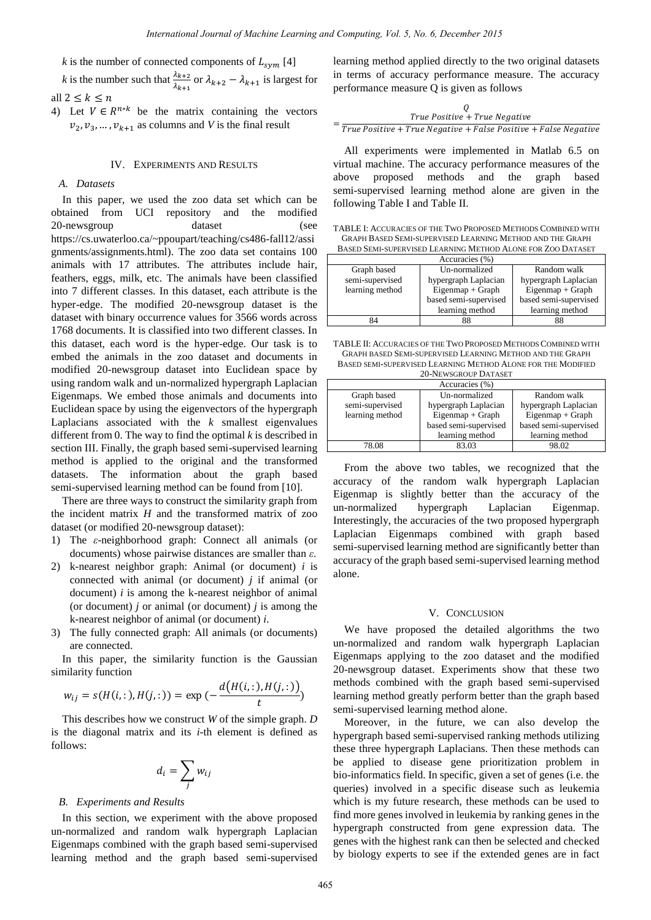*k* is the number of connected components of  $L_{sym}$  [4]

*k* is the number such that  $\frac{\lambda_{k+2}}{\lambda_{k+1}}$  or  $\lambda_{k+2} - \lambda_{k+1}$  is largest for all  $2 \leq k \leq n$ 

4) Let  $V \in R^{n*k}$  be the matrix containing the vectors  $v_2, v_3, ..., v_{k+1}$  as columns and *V* is the final result

## IV. EXPERIMENTS AND RESULTS

#### *A. Datasets*

In this paper, we used the zoo data set which can be obtained from UCI repository and the modified 20-newsgroup dataset (see https://cs.uwaterloo.ca/~ppoupart/teaching/cs486-fall12/assi gnments/assignments.html). The zoo data set contains 100 animals with 17 attributes. The attributes include hair, feathers, eggs, milk, etc. The animals have been classified into 7 different classes. In this dataset, each attribute is the hyper-edge. The modified 20-newsgroup dataset is the dataset with binary occurrence values for 3566 words across 1768 documents. It is classified into two different classes. In this dataset, each word is the hyper-edge. Our task is to embed the animals in the zoo dataset and documents in modified 20-newsgroup dataset into Euclidean space by using random walk and un-normalized hypergraph Laplacian Eigenmaps. We embed those animals and documents into Euclidean space by using the eigenvectors of the hypergraph Laplacians associated with the *k* smallest eigenvalues different from 0. The way to find the optimal *k* is described in section III. Finally, the graph based semi-supervised learning method is applied to the original and the transformed datasets. The information about the graph based semi-supervised learning method can be found from [10].

There are three ways to construct the similarity graph from the incident matrix *H* and the transformed matrix of zoo dataset (or modified 20-newsgroup dataset):

- 1) The *ε*-neighborhood graph: Connect all animals (or documents) whose pairwise distances are smaller than *ε*.
- 2) k-nearest neighbor graph: Animal (or document) *i* is connected with animal (or document) *j* if animal (or document) *i* is among the k-nearest neighbor of animal (or document) *j* or animal (or document) *j* is among the k-nearest neighbor of animal (or document) *i*.
- 3) The fully connected graph: All animals (or documents) are connected.

In this paper, the similarity function is the Gaussian similarity function

$$
w_{ij} = s(H(i,:), H(j,:)) = \exp\left(-\frac{d\big(H(i,:), H(j,:)\big)}{t}\right)
$$

This describes how we construct *W* of the simple graph. *D* is the diagonal matrix and its *i-*th element is defined as follows:

$$
d_i = \sum_j w_{ij}
$$

#### *B. Experiments and Results*

In this section, we experiment with the above proposed un-normalized and random walk hypergraph Laplacian Eigenmaps combined with the graph based semi-supervised learning method and the graph based semi-supervised learning method applied directly to the two original datasets in terms of accuracy performance measure. The accuracy performance measure Q is given as follows

$$
Q
$$
  
= True Positive + True Negative  
True Positive + False Positive + False Negative

All experiments were implemented in Matlab 6.5 on virtual machine. The accuracy performance measures of the above proposed methods and the graph based semi-supervised learning method alone are given in the following Table I and Table II.

| TABLE I: ACCURACIES OF THE TWO PROPOSED METHODS COMBINED WITH |
|---------------------------------------------------------------|
| GRAPH BASED SEMI-SUPERVISED LEARNING METHOD AND THE GRAPH     |
| BASED SEMI-SUPERVISED LEARNING METHOD ALONE FOR ZOO DATASET   |

| Accuracies (%)  |                       |                       |  |
|-----------------|-----------------------|-----------------------|--|
| Graph based     | Un-normalized         | Random walk           |  |
| semi-supervised | hypergraph Laplacian  | hypergraph Laplacian  |  |
| learning method | $Eigenmap + Graph$    | $Eigenmap + Graph$    |  |
|                 | based semi-supervised | based semi-supervised |  |
|                 | learning method       | learning method       |  |
| R4              |                       | 88                    |  |

TABLE II: ACCURACIES OF THE TWO PROPOSED METHODS COMBINED WITH GRAPH BASED SEMI-SUPERVISED LEARNING METHOD AND THE GRAPH BASED SEMI-SUPERVISED LEARNING METHOD ALONE FOR THE MODIFIED 20-NEWSCROUP DATASET

| 20 INCHOUNCEL DATABLE |                       |                       |  |
|-----------------------|-----------------------|-----------------------|--|
| Accuracies (%)        |                       |                       |  |
| Graph based           | Un-normalized         | Random walk           |  |
| semi-supervised       | hypergraph Laplacian  | hypergraph Laplacian  |  |
| learning method       | Eigenmap + Graph      | $Eigenmap + Graph$    |  |
|                       | based semi-supervised | based semi-supervised |  |
|                       | learning method       | learning method       |  |
| 78.08                 | 83.03                 | 98.02                 |  |

From the above two tables, we recognized that the accuracy of the random walk hypergraph Laplacian Eigenmap is slightly better than the accuracy of the un-normalized hypergraph Laplacian Eigenmap. Interestingly, the accuracies of the two proposed hypergraph Laplacian Eigenmaps combined with graph based semi-supervised learning method are significantly better than accuracy of the graph based semi-supervised learning method alone.

#### V. CONCLUSION

We have proposed the detailed algorithms the two un-normalized and random walk hypergraph Laplacian Eigenmaps applying to the zoo dataset and the modified 20-newsgroup dataset. Experiments show that these two methods combined with the graph based semi-supervised learning method greatly perform better than the graph based semi-supervised learning method alone.

Moreover, in the future, we can also develop the hypergraph based semi-supervised ranking methods utilizing these three hypergraph Laplacians. Then these methods can be applied to disease gene prioritization problem in bio-informatics field. In specific, given a set of genes (i.e. the queries) involved in a specific disease such as leukemia which is my future research, these methods can be used to find more genes involved in leukemia by ranking genes in the hypergraph constructed from gene expression data. The genes with the highest rank can then be selected and checked by biology experts to see if the extended genes are in fact